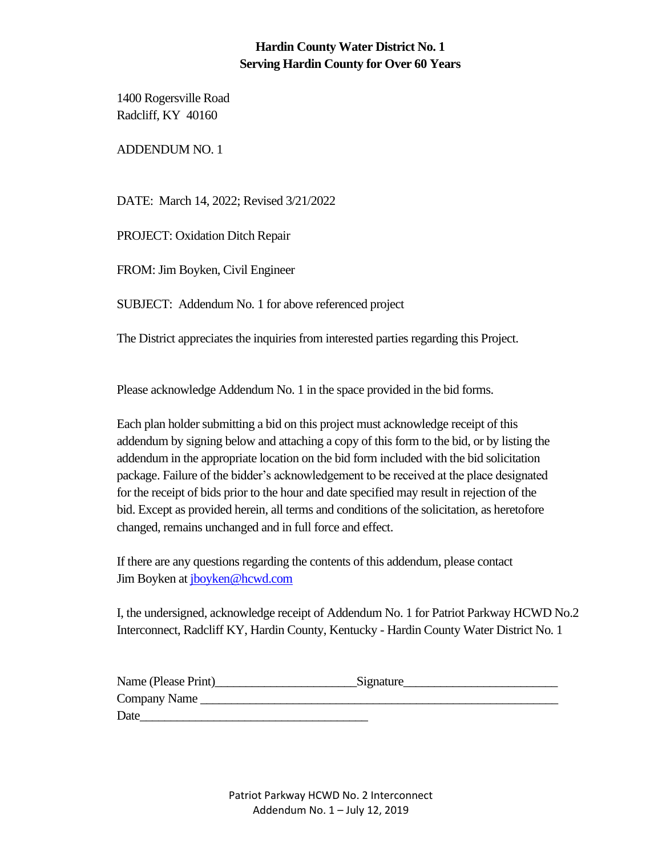### **Hardin County Water District No. 1 Serving Hardin County for Over 60 Years**

1400 Rogersville Road Radcliff, KY 40160

ADDENDUM NO. 1

DATE: March 14, 2022; Revised 3/21/2022

PROJECT: Oxidation Ditch Repair

FROM: Jim Boyken, Civil Engineer

SUBJECT: Addendum No. 1 for above referenced project

The District appreciates the inquiries from interested parties regarding this Project.

Please acknowledge Addendum No. 1 in the space provided in the bid forms.

Each plan holder submitting a bid on this project must acknowledge receipt of this addendum by signing below and attaching a copy of this form to the bid, or by listing the addendum in the appropriate location on the bid form included with the bid solicitation package. Failure of the bidder's acknowledgement to be received at the place designated for the receipt of bids prior to the hour and date specified may result in rejection of the bid. Except as provided herein, all terms and conditions of the solicitation, as heretofore changed, remains unchanged and in full force and effect.

If there are any questions regarding the contents of this addendum, please contact Jim Boyken at [jboyken@hcwd.com](mailto:jboyken@hcwd.com)

I, the undersigned, acknowledge receipt of Addendum No. 1 for Patriot Parkway HCWD No.2 Interconnect, Radcliff KY, Hardin County, Kentucky - Hardin County Water District No. 1

| Name (Please Print) | Signature |  |
|---------------------|-----------|--|
| Company Name        |           |  |
| Date                |           |  |